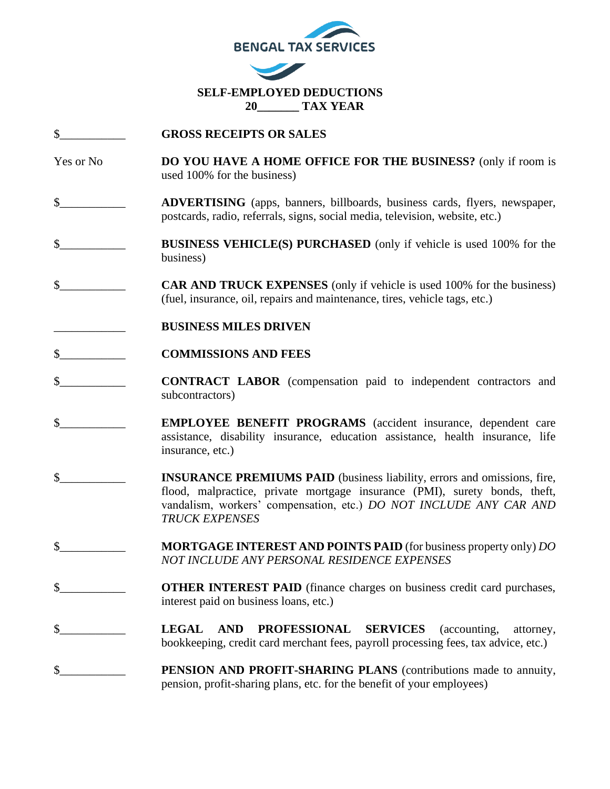

- \$\_\_\_\_\_\_\_\_\_\_\_ **GROSS RECEIPTS OR SALES**
- Yes or No **DO YOU HAVE A HOME OFFICE FOR THE BUSINESS?** (only if room is used 100% for the business)
- \$\_\_\_\_\_\_\_\_\_\_\_ **ADVERTISING** (apps, banners, billboards, business cards, flyers, newspaper, postcards, radio, referrals, signs, social media, television, website, etc.)
- \$\_\_\_\_\_\_\_\_\_\_\_ **BUSINESS VEHICLE(S) PURCHASED** (only if vehicle is used 100% for the business)
- \$ **CAR AND TRUCK EXPENSES** (only if vehicle is used 100% for the business) (fuel, insurance, oil, repairs and maintenance, tires, vehicle tags, etc.)
- \_\_\_\_\_\_\_\_\_\_\_\_ **BUSINESS MILES DRIVEN**
- \$\_\_\_\_\_\_\_\_\_\_\_ **COMMISSIONS AND FEES**
- \$\_\_\_\_\_\_\_\_\_\_\_ **CONTRACT LABOR** (compensation paid to independent contractors and subcontractors)
- \$ **EMPLOYEE BENEFIT PROGRAMS** (accident insurance, dependent care assistance, disability insurance, education assistance, health insurance, life insurance, etc.)
- \$\_\_\_\_\_\_\_\_\_\_\_ **INSURANCE PREMIUMS PAID** (business liability, errors and omissions, fire, flood, malpractice, private mortgage insurance (PMI), surety bonds, theft, vandalism, workers' compensation, etc.) *DO NOT INCLUDE ANY CAR AND TRUCK EXPENSES*
- \$\_\_\_\_\_\_\_\_\_\_\_ **MORTGAGE INTEREST AND POINTS PAID** (for business property only) *DO NOT INCLUDE ANY PERSONAL RESIDENCE EXPENSES*
- \$ **S OTHER INTEREST PAID** (finance charges on business credit card purchases, interest paid on business loans, etc.)
- \$\_\_\_\_\_\_\_\_\_\_\_ **LEGAL AND PROFESSIONAL SERVICES** (accounting, attorney, bookkeeping, credit card merchant fees, payroll processing fees, tax advice, etc.)
- \$\_\_\_\_\_\_\_\_\_\_\_ **PENSION AND PROFIT-SHARING PLANS** (contributions made to annuity, pension, profit-sharing plans, etc. for the benefit of your employees)